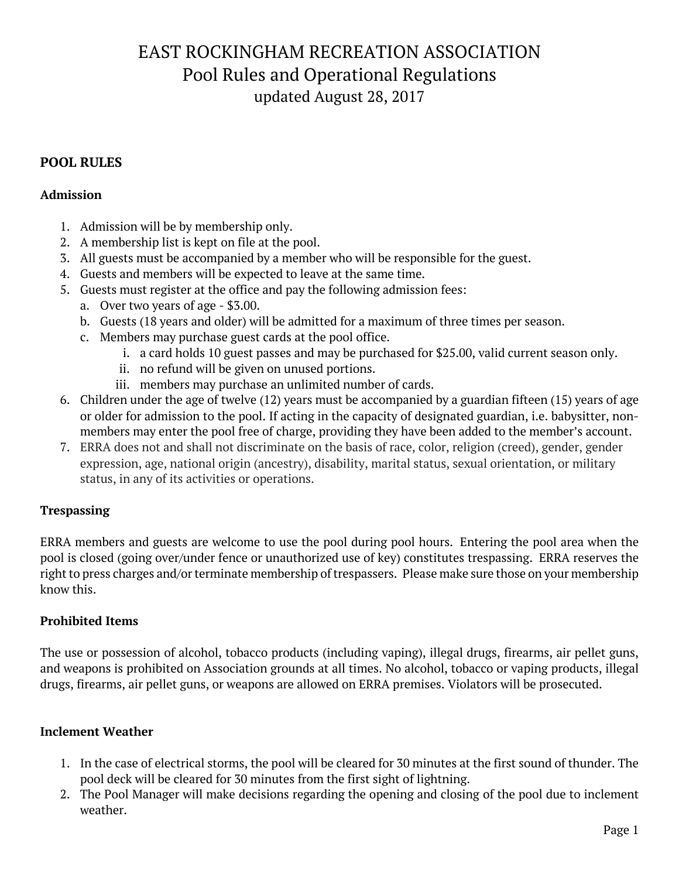# EAST ROCKINGHAM RECREATION ASSOCIATION Pool Rules and Operational Regulations updated August 28, 2017

## **POOL RULES**

#### **Admission**

- 1. Admission will be by membership only.
- 2. A membership list is kept on file at the pool.
- 3. All guests must be accompanied by a member who will be responsible for the guest.
- 4. Guests and members will be expected to leave at the same time.
- 5. Guests must register at the office and pay the following admission fees:
	- a. Over two years of age \$3.00.
	- b. Guests (18 years and older) will be admitted for a maximum of three times per season.
	- c. Members may purchase guest cards at the pool office.
		- i. a card holds 10 guest passes and may be purchased for \$25.00, valid current season only.
		- ii. no refund will be given on unused portions.
		- iii. members may purchase an unlimited number of cards.
- 6. Children under the age of twelve (12) years must be accompanied by a guardian fifteen (15) years of age or older for admission to the pool. If acting in the capacity of designated guardian, i.e. babysitter, nonmembers may enter the pool free of charge, providing they have been added to the member's account.
- 7. ERRA does not and shall not discriminate on the basis of race, color, religion (creed), gender, gender expression, age, national origin (ancestry), disability, marital status, sexual orientation, or military status, in any of its activities or operations.

## **Trespassing**

ERRA members and guests are welcome to use the pool during pool hours. Entering the pool area when the pool is closed (going over/under fence or unauthorized use of key) constitutes trespassing. ERRA reserves the right to press charges and/or terminate membership of trespassers. Please make sure those on your membership know this.

## **Prohibited Items**

The use or possession of alcohol, tobacco products (including vaping), illegal drugs, firearms, air pellet guns, and weapons is prohibited on Association grounds at all times. No alcohol, tobacco or vaping products, illegal drugs, firearms, air pellet guns, or weapons are allowed on ERRA premises. Violators will be prosecuted.

## **Inclement Weather**

- 1. In the case of electrical storms, the pool will be cleared for 30 minutes at the first sound of thunder. The pool deck will be cleared for 30 minutes from the first sight of lightning.
- 2. The Pool Manager will make decisions regarding the opening and closing of the pool due to inclement weather.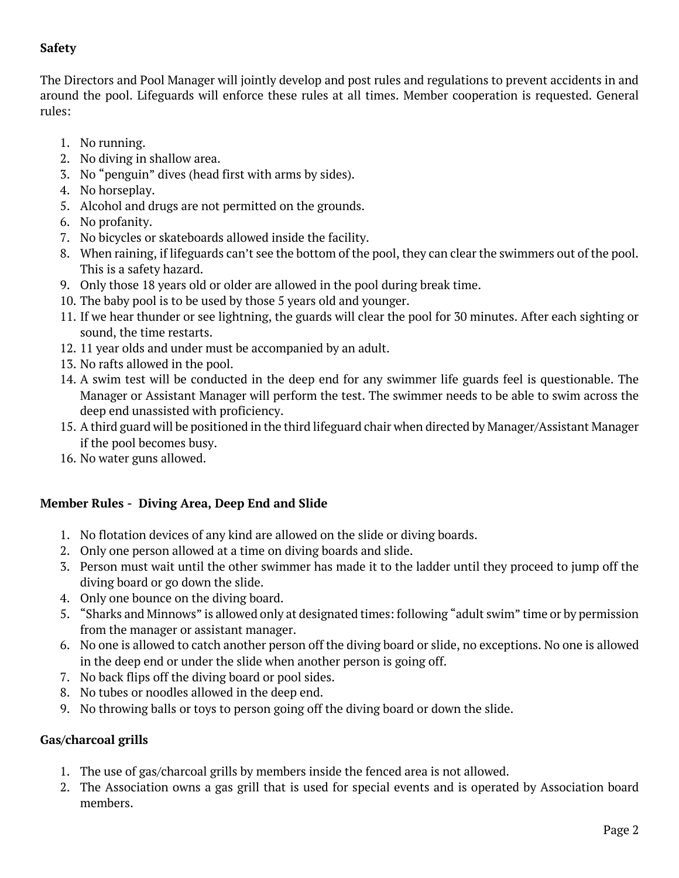# **Safety**

The Directors and Pool Manager will jointly develop and post rules and regulations to prevent accidents in and around the pool. Lifeguards will enforce these rules at all times. Member cooperation is requested. General rules:

- 1. No running.
- 2. No diving in shallow area.
- 3. No "penguin" dives (head first with arms by sides).
- 4. No horseplay.
- 5. Alcohol and drugs are not permitted on the grounds.
- 6. No profanity.
- 7. No bicycles or skateboards allowed inside the facility.
- 8. When raining, if lifeguards can't see the bottom of the pool, they can clear the swimmers out of the pool. This is a safety hazard.
- 9. Only those 18 years old or older are allowed in the pool during break time.
- 10. The baby pool is to be used by those 5 years old and younger.
- 11. If we hear thunder or see lightning, the guards will clear the pool for 30 minutes. After each sighting or sound, the time restarts.
- 12. 11 year olds and under must be accompanied by an adult.
- 13. No rafts allowed in the pool.
- 14. A swim test will be conducted in the deep end for any swimmer life guards feel is questionable. The Manager or Assistant Manager will perform the test. The swimmer needs to be able to swim across the deep end unassisted with proficiency.
- 15. A third guard will be positioned in the third lifeguard chair when directed by Manager/Assistant Manager if the pool becomes busy.
- 16. No water guns allowed.

## **Member Rules - Diving Area, Deep End and Slide**

- 1. No flotation devices of any kind are allowed on the slide or diving boards.
- 2. Only one person allowed at a time on diving boards and slide.
- 3. Person must wait until the other swimmer has made it to the ladder until they proceed to jump off the diving board or go down the slide.
- 4. Only one bounce on the diving board.
- 5. "Sharks and Minnows" is allowed only at designated times: following "adult swim" time or by permission from the manager or assistant manager.
- 6. No one is allowed to catch another person off the diving board or slide, no exceptions. No one is allowed in the deep end or under the slide when another person is going off.
- 7. No back flips off the diving board or pool sides.
- 8. No tubes or noodles allowed in the deep end.
- 9. No throwing balls or toys to person going off the diving board or down the slide.

# **Gas/charcoal grills**

- 1. The use of gas/charcoal grills by members inside the fenced area is not allowed.
- 2. The Association owns a gas grill that is used for special events and is operated by Association board members.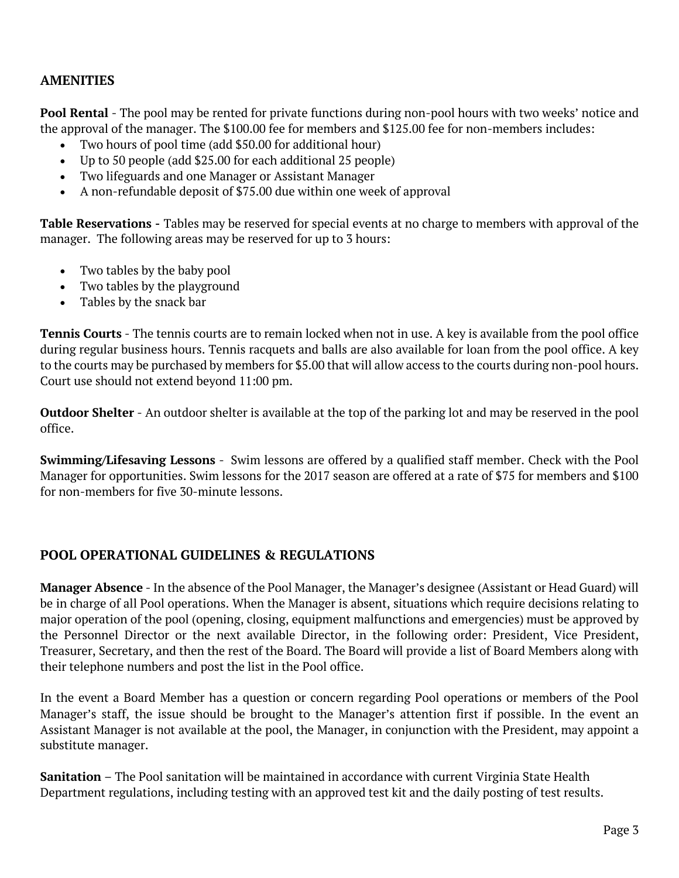## **AMENITIES**

**Pool Rental** - The pool may be rented for private functions during non-pool hours with two weeks' notice and the approval of the manager. The \$100.00 fee for members and \$125.00 fee for non-members includes:

- Two hours of pool time (add \$50.00 for additional hour)
- Up to 50 people (add \$25.00 for each additional 25 people)
- Two lifeguards and one Manager or Assistant Manager
- A non-refundable deposit of \$75.00 due within one week of approval

**Table Reservations -** Tables may be reserved for special events at no charge to members with approval of the manager. The following areas may be reserved for up to 3 hours:

- Two tables by the baby pool
- Two tables by the playground
- Tables by the snack bar

**Tennis Courts** - The tennis courts are to remain locked when not in use. A key is available from the pool office during regular business hours. Tennis racquets and balls are also available for loan from the pool office. A key to the courts may be purchased by members for \$5.00 that will allow access to the courts during non-pool hours. Court use should not extend beyond 11:00 pm.

**Outdoor Shelter** - An outdoor shelter is available at the top of the parking lot and may be reserved in the pool office.

**Swimming/Lifesaving Lessons** - Swim lessons are offered by a qualified staff member. Check with the Pool Manager for opportunities. Swim lessons for the 2017 season are offered at a rate of \$75 for members and \$100 for non-members for five 30-minute lessons.

## **POOL OPERATIONAL GUIDELINES & REGULATIONS**

**Manager Absence** - In the absence of the Pool Manager, the Manager's designee (Assistant or Head Guard) will be in charge of all Pool operations. When the Manager is absent, situations which require decisions relating to major operation of the pool (opening, closing, equipment malfunctions and emergencies) must be approved by the Personnel Director or the next available Director, in the following order: President, Vice President, Treasurer, Secretary, and then the rest of the Board. The Board will provide a list of Board Members along with their telephone numbers and post the list in the Pool office.

In the event a Board Member has a question or concern regarding Pool operations or members of the Pool Manager's staff, the issue should be brought to the Manager's attention first if possible. In the event an Assistant Manager is not available at the pool, the Manager, in conjunction with the President, may appoint a substitute manager.

**Sanitation** – The Pool sanitation will be maintained in accordance with current Virginia State Health Department regulations, including testing with an approved test kit and the daily posting of test results.